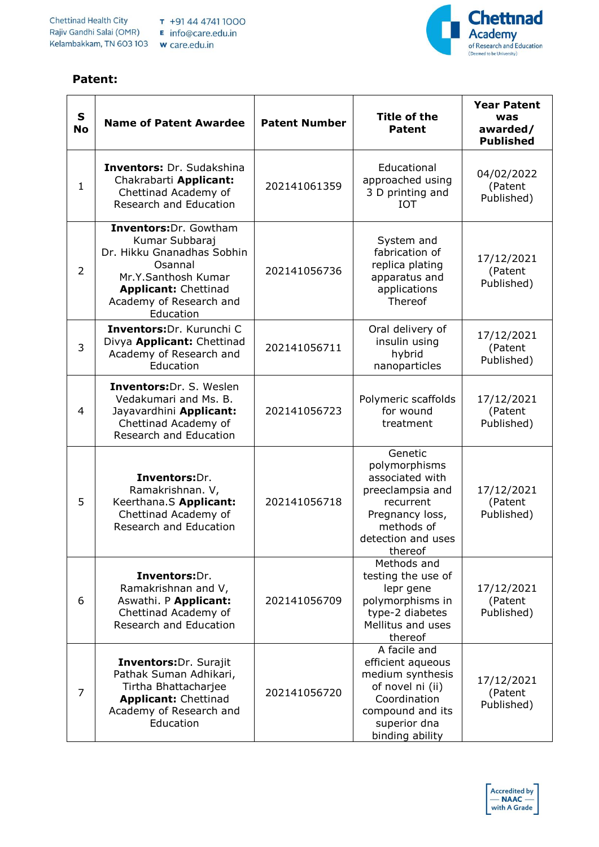## **Patent:**



| $\mathbf{s}$<br><b>No</b> | <b>Name of Patent Awardee</b>                                                                                                                                                   | <b>Patent Number</b> | <b>Title of the</b><br><b>Patent</b>                                                                                                             | <b>Year Patent</b><br>was<br>awarded/<br><b>Published</b> |
|---------------------------|---------------------------------------------------------------------------------------------------------------------------------------------------------------------------------|----------------------|--------------------------------------------------------------------------------------------------------------------------------------------------|-----------------------------------------------------------|
| $\mathbf{1}$              | <b>Inventors: Dr. Sudakshina</b><br>Chakrabarti Applicant:<br>Chettinad Academy of<br>Research and Education                                                                    | 202141061359         | Educational<br>approached using<br>3 D printing and<br><b>IOT</b>                                                                                | 04/02/2022<br>(Patent<br>Published)                       |
| $\overline{2}$            | Inventors: Dr. Gowtham<br>Kumar Subbaraj<br>Dr. Hikku Gnanadhas Sobhin<br>Osannal<br>Mr.Y.Santhosh Kumar<br><b>Applicant: Chettinad</b><br>Academy of Research and<br>Education | 202141056736         | System and<br>fabrication of<br>replica plating<br>apparatus and<br>applications<br>Thereof                                                      | 17/12/2021<br>(Patent<br>Published)                       |
| 3                         | Inventors: Dr. Kurunchi C<br>Divya Applicant: Chettinad<br>Academy of Research and<br>Education                                                                                 | 202141056711         | Oral delivery of<br>insulin using<br>hybrid<br>nanoparticles                                                                                     | 17/12/2021<br>(Patent<br>Published)                       |
| 4                         | <b>Inventors: Dr. S. Weslen</b><br>Vedakumari and Ms. B.<br>Jayavardhini Applicant:<br>Chettinad Academy of<br>Research and Education                                           | 202141056723         | Polymeric scaffolds<br>for wound<br>treatment                                                                                                    | 17/12/2021<br>(Patent<br>Published)                       |
| 5                         | Inventors:Dr.<br>Ramakrishnan. V,<br>Keerthana.S Applicant:<br>Chettinad Academy of<br>Research and Education                                                                   | 202141056718         | Genetic<br>polymorphisms<br>associated with<br>preeclampsia and<br>recurrent<br>Pregnancy loss,<br>methods of<br>detection and uses<br>thereof   | 17/12/2021<br>(Patent<br>Published)                       |
| 6                         | Inventors:Dr.<br>Ramakrishnan and V,<br>Aswathi. P Applicant:<br>Chettinad Academy of<br>Research and Education                                                                 | 202141056709         | Methods and<br>testing the use of<br>lepr gene<br>polymorphisms in<br>type-2 diabetes<br>Mellitus and uses<br>thereof                            | 17/12/2021<br>(Patent<br>Published)                       |
| 7                         | Inventors: Dr. Surajit<br>Pathak Suman Adhikari,<br>Tirtha Bhattacharjee<br><b>Applicant: Chettinad</b><br>Academy of Research and<br>Education                                 | 202141056720         | A facile and<br>efficient aqueous<br>medium synthesis<br>of novel ni (ii)<br>Coordination<br>compound and its<br>superior dna<br>binding ability | 17/12/2021<br>(Patent<br>Published)                       |

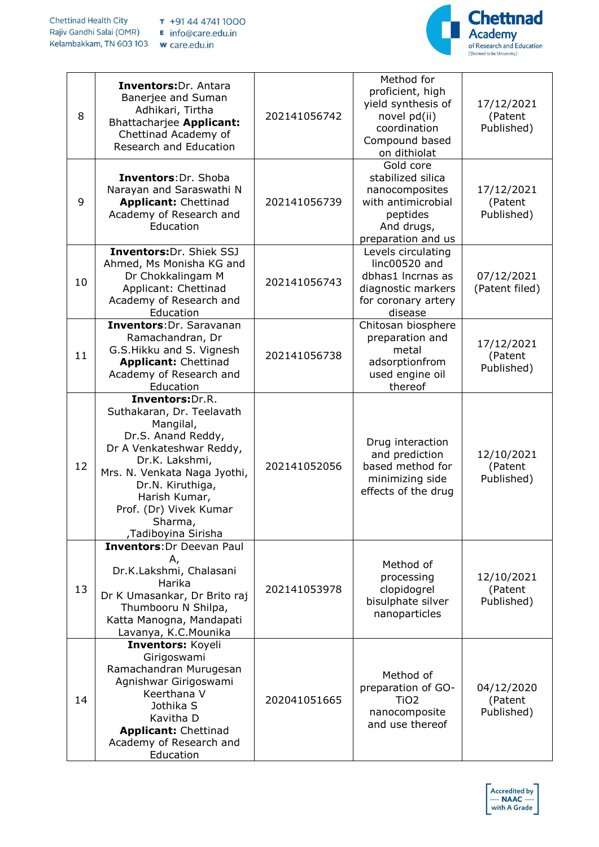

| 8  | <b>Inventors: Dr. Antara</b><br>Banerjee and Suman<br>Adhikari, Tirtha<br>Bhattacharjee Applicant:<br>Chettinad Academy of<br>Research and Education<br>Inventors: Dr. Shoba                                                                                    | 202141056742 | Method for<br>proficient, high<br>yield synthesis of<br>novel pd(ii)<br>coordination<br>Compound based<br>on dithiolat<br>Gold core<br>stabilized silica | 17/12/2021<br>(Patent<br>Published) |
|----|-----------------------------------------------------------------------------------------------------------------------------------------------------------------------------------------------------------------------------------------------------------------|--------------|----------------------------------------------------------------------------------------------------------------------------------------------------------|-------------------------------------|
| 9  | Narayan and Saraswathi N<br><b>Applicant: Chettinad</b><br>Academy of Research and<br>Education                                                                                                                                                                 | 202141056739 | nanocomposites<br>with antimicrobial<br>peptides<br>And drugs,<br>preparation and us                                                                     | 17/12/2021<br>(Patent<br>Published) |
| 10 | Inventors: Dr. Shiek SSJ<br>Ahmed, Ms Monisha KG and<br>Dr Chokkalingam M<br>Applicant: Chettinad<br>Academy of Research and<br>Education                                                                                                                       | 202141056743 | Levels circulating<br>linc00520 and<br>dbhas1 Incrnas as<br>diagnostic markers<br>for coronary artery<br>disease                                         | 07/12/2021<br>(Patent filed)        |
| 11 | Inventors: Dr. Saravanan<br>Ramachandran, Dr<br>G.S.Hikku and S. Vignesh<br><b>Applicant: Chettinad</b><br>Academy of Research and<br>Education                                                                                                                 | 202141056738 | Chitosan biosphere<br>preparation and<br>metal<br>adsorptionfrom<br>used engine oil<br>thereof                                                           | 17/12/2021<br>(Patent<br>Published) |
| 12 | Inventors: Dr.R.<br>Suthakaran, Dr. Teelavath<br>Mangilal,<br>Dr.S. Anand Reddy,<br>Dr A Venkateshwar Reddy,<br>Dr.K. Lakshmi,<br>Mrs. N. Venkata Naga Jyothi,<br>Dr.N. Kiruthiga,<br>Harish Kumar,<br>Prof. (Dr) Vivek Kumar<br>Sharma,<br>,Tadiboyina Sirisha | 202141052056 | Drug interaction<br>and prediction<br>based method for<br>minimizing side<br>effects of the drug                                                         | 12/10/2021<br>(Patent<br>Published) |
| 13 | <b>Inventors: Dr Deevan Paul</b><br>Α,<br>Dr.K.Lakshmi, Chalasani<br>Harika<br>Dr K Umasankar, Dr Brito raj<br>Thumbooru N Shilpa,<br>Katta Manogna, Mandapati<br>Lavanya, K.C. Mounika                                                                         | 202141053978 | Method of<br>processing<br>clopidogrel<br>bisulphate silver<br>nanoparticles                                                                             | 12/10/2021<br>(Patent<br>Published) |
| 14 | Inventors: Koyeli<br>Girigoswami<br>Ramachandran Murugesan<br>Agnishwar Girigoswami<br>Keerthana V<br>Jothika S<br>Kavitha D<br><b>Applicant: Chettinad</b><br>Academy of Research and<br>Education                                                             | 202041051665 | Method of<br>preparation of GO-<br>TiO <sub>2</sub><br>nanocomposite<br>and use thereof                                                                  | 04/12/2020<br>(Patent<br>Published) |

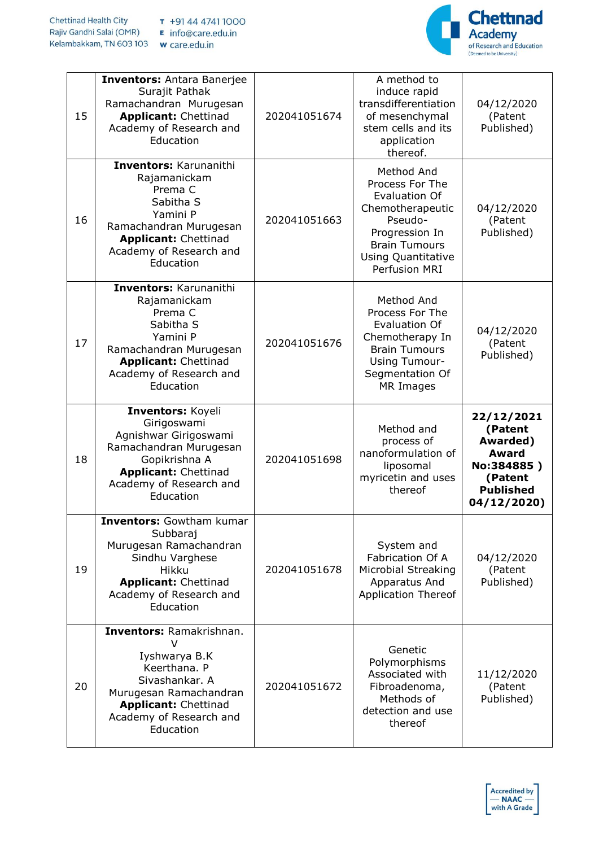

| 15 | <b>Inventors: Antara Banerjee</b><br>Surajit Pathak<br>Ramachandran Murugesan<br><b>Applicant: Chettinad</b><br>Academy of Research and<br>Education                                                        | 202041051674 | A method to<br>induce rapid<br>transdifferentiation<br>of mesenchymal<br>stem cells and its<br>application<br>thereof.                                                | 04/12/2020<br>(Patent<br>Published)                                                                           |
|----|-------------------------------------------------------------------------------------------------------------------------------------------------------------------------------------------------------------|--------------|-----------------------------------------------------------------------------------------------------------------------------------------------------------------------|---------------------------------------------------------------------------------------------------------------|
| 16 | Inventors: Karunanithi<br>Rajamanickam<br>Prema C<br>Sabitha S<br>Yamini P<br>Ramachandran Murugesan<br><b>Applicant: Chettinad</b><br>Academy of Research and<br>Education                                 | 202041051663 | Method And<br>Process For The<br><b>Evaluation Of</b><br>Chemotherapeutic<br>Pseudo-<br>Progression In<br><b>Brain Tumours</b><br>Using Quantitative<br>Perfusion MRI | 04/12/2020<br>(Patent<br>Published)                                                                           |
| 17 | Inventors: Karunanithi<br>Rajamanickam<br>Prema C<br>Sabitha S<br>Yamini P<br>Ramachandran Murugesan<br><b>Applicant: Chettinad</b><br>Academy of Research and<br>Education                                 | 202041051676 | Method And<br>Process For The<br><b>Evaluation Of</b><br>Chemotherapy In<br><b>Brain Tumours</b><br><b>Using Tumour-</b><br>Segmentation Of<br>MR Images              | 04/12/2020<br>(Patent<br>Published)                                                                           |
|    | Inventors: Koyeli                                                                                                                                                                                           |              |                                                                                                                                                                       |                                                                                                               |
| 18 | Girigoswami<br>Agnishwar Girigoswami<br>Ramachandran Murugesan<br>Gopikrishna A<br><b>Applicant: Chettinad</b><br>Academy of Research and<br>Education                                                      | 202041051698 | Method and<br>process of<br>nanoformulation of<br>liposomal<br>myricetin and uses<br>thereof                                                                          | 22/12/2021<br>(Patent<br>Awarded)<br><b>Award</b><br>No:384885)<br>(Patent<br><b>Published</b><br>04/12/2020) |
| 19 | <b>Inventors:</b> Gowtham kumar<br>Subbaraj<br>Murugesan Ramachandran<br>Sindhu Varghese<br><b>Hikku</b><br><b>Applicant: Chettinad</b><br>Academy of Research and<br>Education<br>Inventors: Ramakrishnan. | 202041051678 | System and<br>Fabrication Of A<br>Microbial Streaking<br>Apparatus And<br><b>Application Thereof</b>                                                                  | 04/12/2020<br>(Patent<br>Published)                                                                           |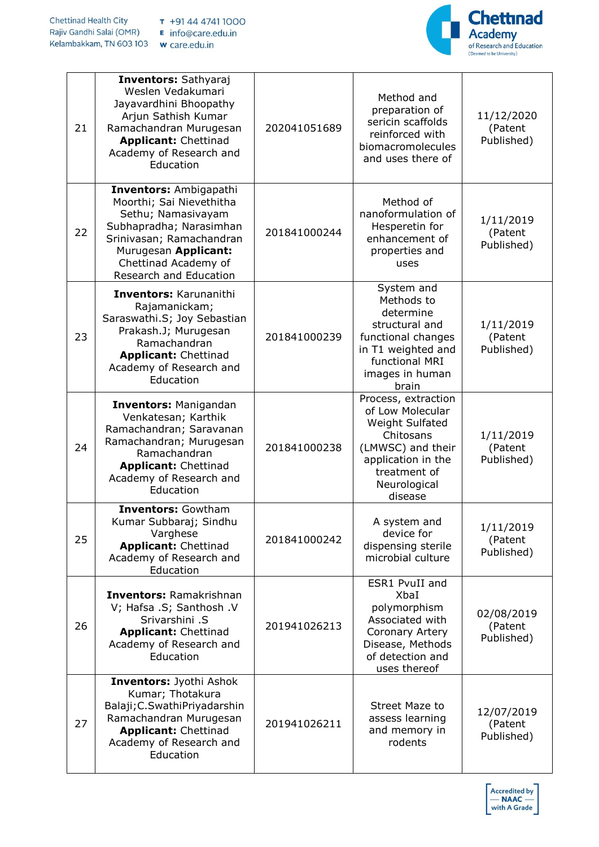

| 21 | <b>Inventors: Sathyaraj</b><br>Weslen Vedakumari<br>Jayavardhini Bhoopathy<br>Arjun Sathish Kumar<br>Ramachandran Murugesan<br><b>Applicant: Chettinad</b><br>Academy of Research and<br>Education               | 202041051689 | Method and<br>preparation of<br>sericin scaffolds<br>reinforced with<br>biomacromolecules<br>and uses there of                                                       | 11/12/2020<br>(Patent<br>Published) |
|----|------------------------------------------------------------------------------------------------------------------------------------------------------------------------------------------------------------------|--------------|----------------------------------------------------------------------------------------------------------------------------------------------------------------------|-------------------------------------|
| 22 | <b>Inventors: Ambigapathi</b><br>Moorthi; Sai Nievethitha<br>Sethu; Namasivayam<br>Subhapradha; Narasimhan<br>Srinivasan; Ramachandran<br>Murugesan Applicant:<br>Chettinad Academy of<br>Research and Education | 201841000244 | Method of<br>nanoformulation of<br>Hesperetin for<br>enhancement of<br>properties and<br>uses                                                                        | 1/11/2019<br>(Patent<br>Published)  |
| 23 | Inventors: Karunanithi<br>Rajamanickam;<br>Saraswathi.S; Joy Sebastian<br>Prakash.J; Murugesan<br>Ramachandran<br><b>Applicant: Chettinad</b><br>Academy of Research and<br>Education                            | 201841000239 | System and<br>Methods to<br>determine<br>structural and<br>functional changes<br>in T1 weighted and<br>functional MRI<br>images in human<br>brain                    | 1/11/2019<br>(Patent<br>Published)  |
| 24 | <b>Inventors: Manigandan</b><br>Venkatesan; Karthik<br>Ramachandran; Saravanan<br>Ramachandran; Murugesan<br>Ramachandran<br><b>Applicant: Chettinad</b><br>Academy of Research and<br>Education                 | 201841000238 | Process, extraction<br>of Low Molecular<br><b>Weight Sulfated</b><br>Chitosans<br>(LMWSC) and their<br>application in the<br>treatment of<br>Neurological<br>disease | 1/11/2019<br>(Patent<br>Published)  |
| 25 | <b>Inventors: Gowtham</b><br>Kumar Subbaraj; Sindhu<br>Varghese<br><b>Applicant: Chettinad</b><br>Academy of Research and<br>Education                                                                           | 201841000242 | A system and<br>device for<br>dispensing sterile<br>microbial culture                                                                                                | 1/11/2019<br>(Patent<br>Published)  |
| 26 | <b>Inventors: Ramakrishnan</b><br>V; Hafsa .S; Santhosh .V<br>Srivarshini .S<br><b>Applicant: Chettinad</b><br>Academy of Research and<br>Education                                                              | 201941026213 | ESR1 PvuII and<br>XbaI<br>polymorphism<br>Associated with<br>Coronary Artery<br>Disease, Methods<br>of detection and<br>uses thereof                                 | 02/08/2019<br>(Patent<br>Published) |
| 27 | <b>Inventors: Jyothi Ashok</b><br>Kumar; Thotakura<br>Balaji; C. Swathi Priyadarshin<br>Ramachandran Murugesan<br><b>Applicant: Chettinad</b><br>Academy of Research and<br>Education                            | 201941026211 | Street Maze to<br>assess learning<br>and memory in<br>rodents                                                                                                        | 12/07/2019<br>(Patent<br>Published) |

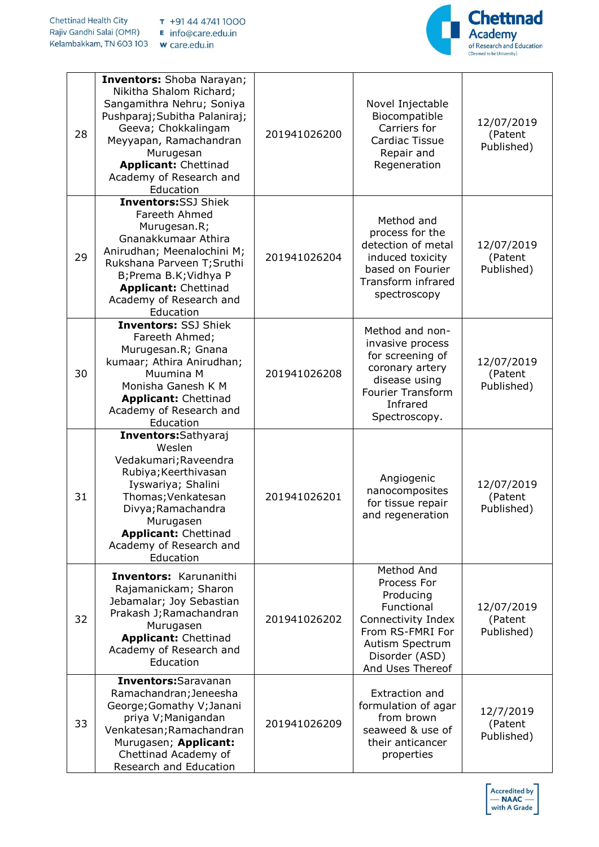

| 28 | <b>Inventors:</b> Shoba Narayan;<br>Nikitha Shalom Richard;<br>Sangamithra Nehru; Soniya<br>Pushparaj; Subitha Palaniraj;<br>Geeva; Chokkalingam<br>Meyyapan, Ramachandran<br>Murugesan<br><b>Applicant: Chettinad</b><br>Academy of Research and<br>Education | 201941026200 | Novel Injectable<br>Biocompatible<br>Carriers for<br>Cardiac Tissue<br>Repair and<br>Regeneration                                                       | 12/07/2019<br>(Patent<br>Published) |
|----|----------------------------------------------------------------------------------------------------------------------------------------------------------------------------------------------------------------------------------------------------------------|--------------|---------------------------------------------------------------------------------------------------------------------------------------------------------|-------------------------------------|
| 29 | <b>Inventors:SSJ Shiek</b><br>Fareeth Ahmed<br>Murugesan.R;<br>Gnanakkumaar Athira<br>Anirudhan; Meenalochini M;<br>Rukshana Parveen T; Sruthi<br>B;Prema B.K;Vidhya P<br><b>Applicant: Chettinad</b><br>Academy of Research and<br>Education                  | 201941026204 | Method and<br>process for the<br>detection of metal<br>induced toxicity<br>based on Fourier<br>Transform infrared<br>spectroscopy                       | 12/07/2019<br>(Patent<br>Published) |
| 30 | <b>Inventors: SSJ Shiek</b><br>Fareeth Ahmed;<br>Murugesan.R; Gnana<br>kumaar; Athira Anirudhan;<br>Muumina M<br>Monisha Ganesh K M<br><b>Applicant: Chettinad</b><br>Academy of Research and<br>Education                                                     | 201941026208 | Method and non-<br>invasive process<br>for screening of<br>coronary artery<br>disease using<br><b>Fourier Transform</b><br>Infrared<br>Spectroscopy.    | 12/07/2019<br>(Patent<br>Published) |
| 31 | Inventors: Sathyaraj<br>Weslen<br>Vedakumari; Raveendra<br>Rubiya; Keerthivasan<br>Iyswariya; Shalini<br>Thomas; Venkatesan<br>Divya; Ramachandra<br>Murugasen<br><b>Applicant: Chettinad</b><br>Academy of Research and<br>Education                          | 201941026201 | Angiogenic<br>nanocomposites<br>for tissue repair<br>and regeneration                                                                                   | 12/07/2019<br>(Patent<br>Published) |
| 32 | <b>Inventors: Karunanithi</b><br>Rajamanickam; Sharon<br>Jebamalar; Joy Sebastian<br>Prakash J; Ramachandran<br>Murugasen<br><b>Applicant: Chettinad</b><br>Academy of Research and<br>Education                                                               | 201941026202 | Method And<br>Process For<br>Producing<br>Functional<br>Connectivity Index<br>From RS-FMRI For<br>Autism Spectrum<br>Disorder (ASD)<br>And Uses Thereof | 12/07/2019<br>(Patent<br>Published) |
| 33 | Inventors: Saravanan<br>Ramachandran; Jeneesha<br>George; Gomathy V; Janani<br>priya V; Manigandan<br>Venkatesan; Ramachandran<br>Murugasen; Applicant:<br>Chettinad Academy of<br>Research and Education                                                      | 201941026209 | Extraction and<br>formulation of agar<br>from brown<br>seaweed & use of<br>their anticancer<br>properties                                               | 12/7/2019<br>(Patent<br>Published)  |

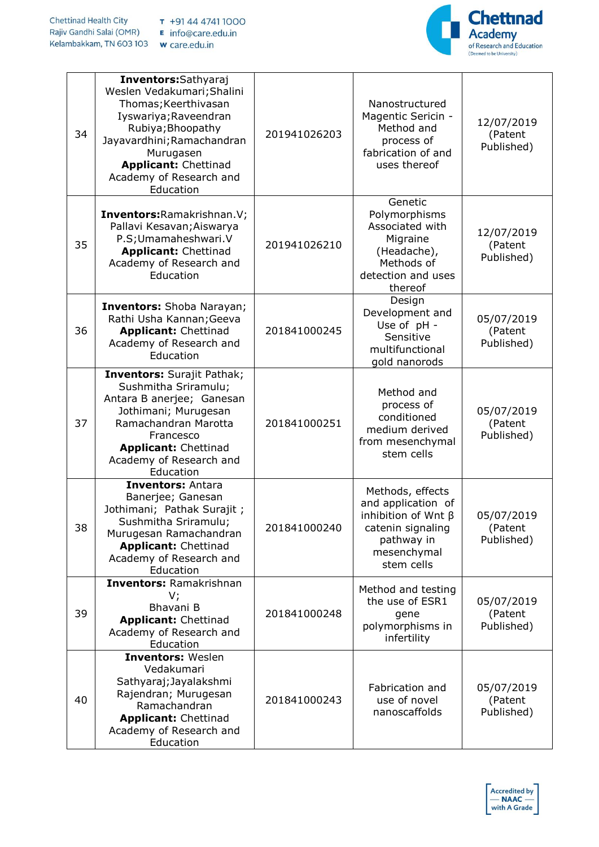

| 34 | Inventors: Sathyaraj<br>Weslen Vedakumari; Shalini<br>Thomas; Keerthivasan<br>Iyswariya; Raveendran<br>Rubiya; Bhoopathy<br>Jayavardhini; Ramachandran<br>Murugasen<br><b>Applicant: Chettinad</b><br>Academy of Research and<br>Education | 201941026203 | Nanostructured<br>Magentic Sericin -<br>Method and<br>process of<br>fabrication of and<br>uses thereof                              | 12/07/2019<br>(Patent<br>Published) |
|----|--------------------------------------------------------------------------------------------------------------------------------------------------------------------------------------------------------------------------------------------|--------------|-------------------------------------------------------------------------------------------------------------------------------------|-------------------------------------|
| 35 | Inventors: Ramakrishnan. V;<br>Pallavi Kesavan; Aiswarya<br>P.S; Umamaheshwari. V<br><b>Applicant: Chettinad</b><br>Academy of Research and<br>Education                                                                                   | 201941026210 | Genetic<br>Polymorphisms<br>Associated with<br>Migraine<br>(Headache),<br>Methods of<br>detection and uses<br>thereof               | 12/07/2019<br>(Patent<br>Published) |
| 36 | <b>Inventors:</b> Shoba Narayan;<br>Rathi Usha Kannan; Geeva<br><b>Applicant: Chettinad</b><br>Academy of Research and<br>Education                                                                                                        | 201841000245 | Design<br>Development and<br>Use of pH -<br>Sensitive<br>multifunctional<br>gold nanorods                                           | 05/07/2019<br>(Patent<br>Published) |
| 37 | <b>Inventors: Surajit Pathak;</b><br>Sushmitha Sriramulu;<br>Antara B anerjee; Ganesan<br>Jothimani; Murugesan<br>Ramachandran Marotta<br>Francesco<br><b>Applicant: Chettinad</b><br>Academy of Research and<br>Education                 | 201841000251 | Method and<br>process of<br>conditioned<br>medium derived<br>from mesenchymal<br>stem cells                                         | 05/07/2019<br>(Patent<br>Published) |
| 38 | <b>Inventors: Antara</b><br>Banerjee; Ganesan<br>Jothimani; Pathak Surajit;<br>Sushmitha Sriramulu;<br>Murugesan Ramachandran<br><b>Applicant: Chettinad</b><br>Academy of Research and<br>Education                                       | 201841000240 | Methods, effects<br>and application of<br>inhibition of Wnt $\beta$<br>catenin signaling<br>pathway in<br>mesenchymal<br>stem cells | 05/07/2019<br>(Patent<br>Published) |
| 39 | <b>Inventors: Ramakrishnan</b><br>V;<br>Bhavani B<br><b>Applicant: Chettinad</b><br>Academy of Research and<br>Education                                                                                                                   | 201841000248 | Method and testing<br>the use of ESR1<br>gene<br>polymorphisms in<br>infertility                                                    | 05/07/2019<br>(Patent<br>Published) |
| 40 | <b>Inventors: Weslen</b><br>Vedakumari<br>Sathyaraj; Jayalakshmi<br>Rajendran; Murugesan<br>Ramachandran<br><b>Applicant: Chettinad</b><br>Academy of Research and<br>Education                                                            | 201841000243 | Fabrication and<br>use of novel<br>nanoscaffolds                                                                                    | 05/07/2019<br>(Patent<br>Published) |

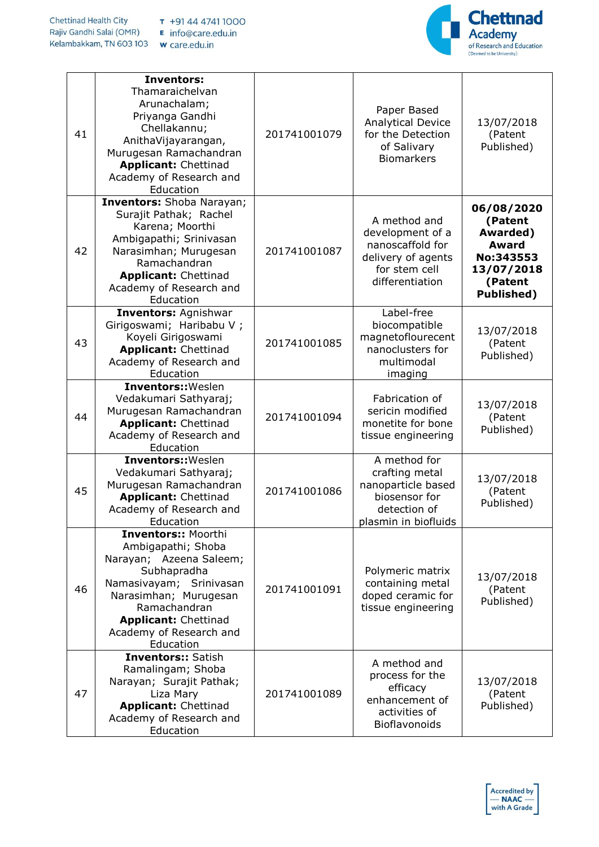

| 41 | <b>Inventors:</b><br>Thamaraichelvan<br>Arunachalam;<br>Priyanga Gandhi<br>Chellakannu;<br>AnithaVijayarangan,<br>Murugesan Ramachandran<br><b>Applicant: Chettinad</b><br>Academy of Research and<br>Education                       | 201741001079 | Paper Based<br><b>Analytical Device</b><br>for the Detection<br>of Salivary<br><b>Biomarkers</b>               | 13/07/2018<br>(Patent<br>Published)                                                                          |
|----|---------------------------------------------------------------------------------------------------------------------------------------------------------------------------------------------------------------------------------------|--------------|----------------------------------------------------------------------------------------------------------------|--------------------------------------------------------------------------------------------------------------|
| 42 | Inventors: Shoba Narayan;<br>Surajit Pathak; Rachel<br>Karena; Moorthi<br>Ambigapathi; Srinivasan<br>Narasimhan; Murugesan<br>Ramachandran<br><b>Applicant: Chettinad</b><br>Academy of Research and<br>Education                     | 201741001087 | A method and<br>development of a<br>nanoscaffold for<br>delivery of agents<br>for stem cell<br>differentiation | 06/08/2020<br>(Patent<br>Awarded)<br><b>Award</b><br>No:343553<br>13/07/2018<br>(Patent<br><b>Published)</b> |
| 43 | <b>Inventors: Agnishwar</b><br>Girigoswami; Haribabu V;<br>Koyeli Girigoswami<br><b>Applicant: Chettinad</b><br>Academy of Research and<br>Education                                                                                  | 201741001085 | Label-free<br>biocompatible<br>magnetoflourecent<br>nanoclusters for<br>multimodal<br>imaging                  | 13/07/2018<br>(Patent<br>Published)                                                                          |
| 44 | <b>Inventors:: Weslen</b><br>Vedakumari Sathyaraj;<br>Murugesan Ramachandran<br><b>Applicant: Chettinad</b><br>Academy of Research and<br>Education                                                                                   | 201741001094 | Fabrication of<br>sericin modified<br>monetite for bone<br>tissue engineering                                  | 13/07/2018<br>(Patent<br>Published)                                                                          |
| 45 | Inventors:: Weslen<br>Vedakumari Sathyaraj;<br>Murugesan Ramachandran<br><b>Applicant: Chettinad</b><br>Academy of Research and<br>Education                                                                                          | 201741001086 | A method for<br>crafting metal<br>nanoparticle based<br>biosensor for<br>detection of<br>plasmin in biofluids  | 13/07/2018<br>(Patent<br>Published)                                                                          |
| 46 | <b>Inventors:: Moorthi</b><br>Ambigapathi; Shoba<br>Narayan; Azeena Saleem;<br>Subhapradha<br>Namasivayam; Srinivasan<br>Narasimhan; Murugesan<br>Ramachandran<br><b>Applicant: Chettinad</b><br>Academy of Research and<br>Education | 201741001091 | Polymeric matrix<br>containing metal<br>doped ceramic for<br>tissue engineering                                | 13/07/2018<br>(Patent<br>Published)                                                                          |
| 47 | <b>Inventors:: Satish</b><br>Ramalingam; Shoba<br>Narayan; Surajit Pathak;<br>Liza Mary<br><b>Applicant: Chettinad</b><br>Academy of Research and<br>Education                                                                        | 201741001089 | A method and<br>process for the<br>efficacy<br>enhancement of<br>activities of<br>Bioflavonoids                | 13/07/2018<br>(Patent<br>Published)                                                                          |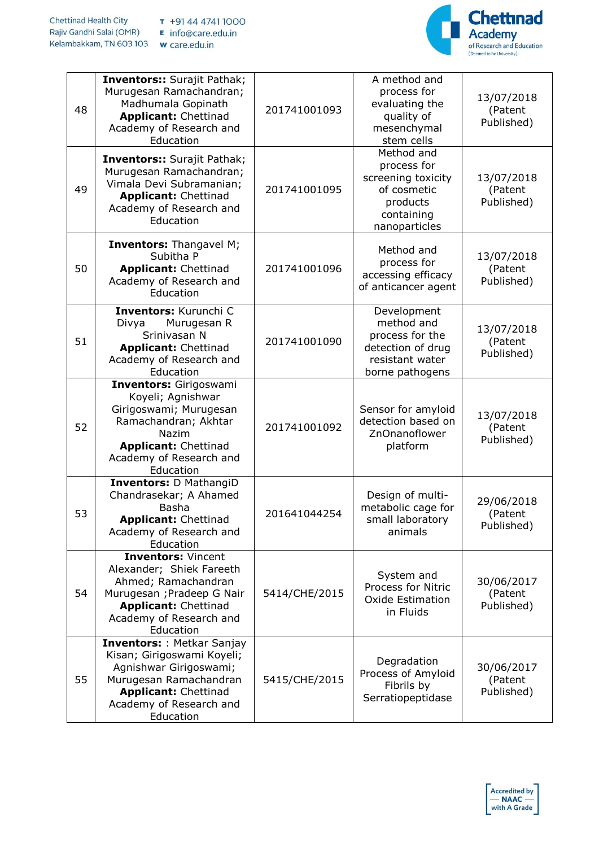

| 48 | <b>Inventors:: Surajit Pathak;</b><br>Murugesan Ramachandran;<br>Madhumala Gopinath<br><b>Applicant: Chettinad</b><br>Academy of Research and<br>Education                                | 201741001093  | A method and<br>process for<br>evaluating the<br>quality of<br>mesenchymal<br>stem cells                  | 13/07/2018<br>(Patent<br>Published) |
|----|-------------------------------------------------------------------------------------------------------------------------------------------------------------------------------------------|---------------|-----------------------------------------------------------------------------------------------------------|-------------------------------------|
| 49 | <b>Inventors:: Surajit Pathak;</b><br>Murugesan Ramachandran;<br>Vimala Devi Subramanian;<br><b>Applicant: Chettinad</b><br>Academy of Research and<br>Education                          | 201741001095  | Method and<br>process for<br>screening toxicity<br>of cosmetic<br>products<br>containing<br>nanoparticles | 13/07/2018<br>(Patent<br>Published) |
| 50 | <b>Inventors:</b> Thangavel M;<br>Subitha P<br><b>Applicant: Chettinad</b><br>Academy of Research and<br>Education                                                                        | 201741001096  | Method and<br>process for<br>accessing efficacy<br>of anticancer agent                                    | 13/07/2018<br>(Patent<br>Published) |
| 51 | Inventors: Kurunchi C<br>Divya<br>Murugesan R<br>Srinivasan N<br><b>Applicant: Chettinad</b><br>Academy of Research and<br>Education                                                      | 201741001090  | Development<br>method and<br>process for the<br>detection of drug<br>resistant water<br>borne pathogens   | 13/07/2018<br>(Patent<br>Published) |
| 52 | Inventors: Girigoswami<br>Koyeli; Agnishwar<br>Girigoswami; Murugesan<br>Ramachandran; Akhtar<br>Nazim<br><b>Applicant: Chettinad</b><br>Academy of Research and<br>Education             | 201741001092  | Sensor for amyloid<br>detection based on<br>ZnOnanoflower<br>platform                                     | 13/07/2018<br>(Patent<br>Published) |
| 53 | <b>Inventors: D MathangiD</b><br>Chandrasekar; A Ahamed<br>Basha<br><b>Applicant: Chettinad</b><br>Academy of Research and<br>Education                                                   | 201641044254  | Design of multi-<br>metabolic cage for<br>small laboratory<br>animals                                     | 29/06/2018<br>(Patent<br>Published) |
| 54 | <b>Inventors: Vincent</b><br>Alexander; Shiek Fareeth<br>Ahmed; Ramachandran<br>Murugesan ; Pradeep G Nair<br><b>Applicant: Chettinad</b><br>Academy of Research and<br>Education         | 5414/CHE/2015 | System and<br><b>Process for Nitric</b><br>Oxide Estimation<br>in Fluids                                  | 30/06/2017<br>(Patent<br>Published) |
| 55 | <b>Inventors:: Metkar Sanjay</b><br>Kisan; Girigoswami Koyeli;<br>Agnishwar Girigoswami;<br>Murugesan Ramachandran<br><b>Applicant: Chettinad</b><br>Academy of Research and<br>Education | 5415/CHE/2015 | Degradation<br>Process of Amyloid<br>Fibrils by<br>Serratiopeptidase                                      | 30/06/2017<br>(Patent<br>Published) |